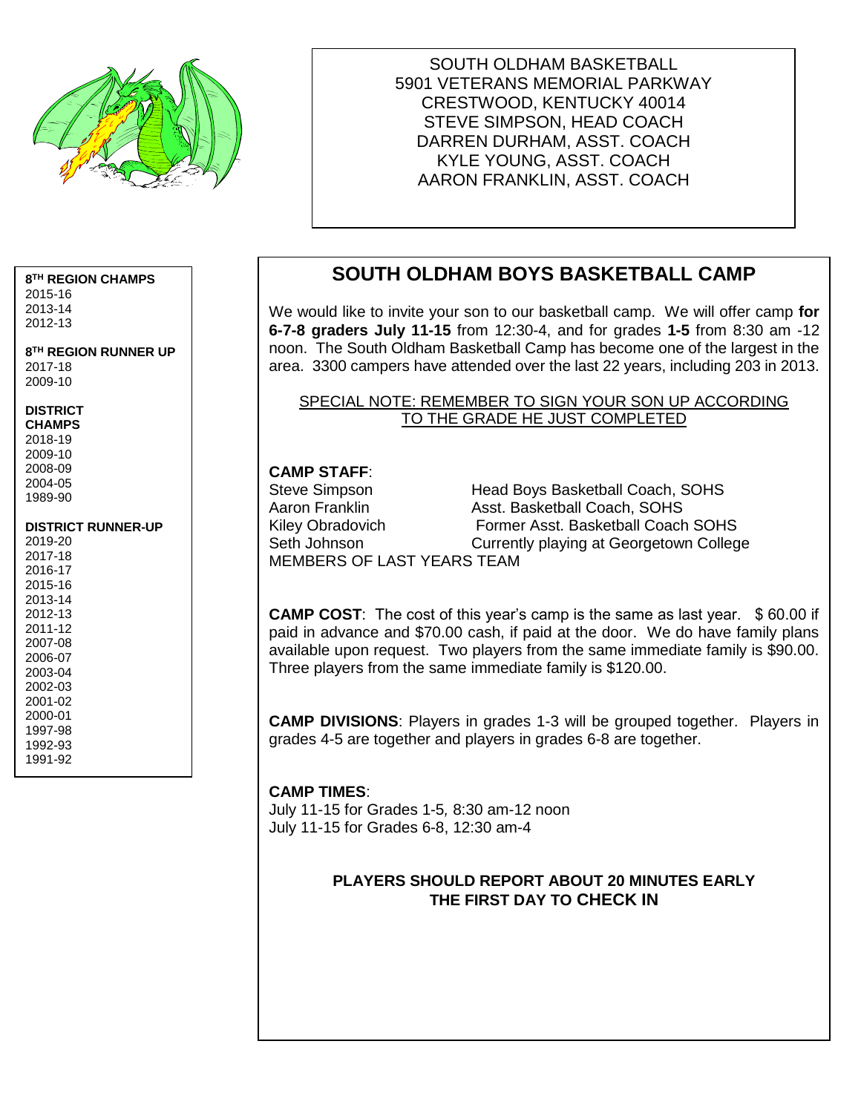

SOUTH OLDHAM BASKETBALL 5901 VETERANS MEMORIAL PARKWAY CRESTWOOD, KENTUCKY 40014 STEVE SIMPSON, HEAD COACH DARREN DURHAM, ASST. COACH KYLE YOUNG, ASST. COACH AARON FRANKLIN, ASST. COACH

#### **8 TH REGION CHAMPS**

2015-16 2013-14 2012-13

**8 TH REGION RUNNER UP** 2017-18 2009-10

#### **DISTRICT**

**CHAMPS** 2018-19 2009-10 2008-09 2004-05 1989-90

#### **DISTRICT RUNNER-UP**

| 2019-20 |  |
|---------|--|
| 2017-18 |  |
| 2016-17 |  |
| 2015-16 |  |
| 2013-14 |  |
| 2012-13 |  |
| 2011-12 |  |
| 2007-08 |  |
| 2006-07 |  |
| 2003-04 |  |
| 2002-03 |  |
| 2001-02 |  |
| 2000-01 |  |
| 1997-98 |  |
| 1992-93 |  |
| 1991-92 |  |
|         |  |

# **SOUTH OLDHAM BOYS BASKETBALL CAMP**

We would like to invite your son to our basketball camp. We will offer camp **for 6-7-8 graders July 11-15** from 12:30-4, and for grades **1-5** from 8:30 am -12 noon. The South Oldham Basketball Camp has become one of the largest in the area. 3300 campers have attended over the last 22 years, including 203 in 2013.

#### SPECIAL NOTE: REMEMBER TO SIGN YOUR SON UP ACCORDING TO THE GRADE HE JUST COMPLETED

#### **CAMP STAFF**:

Steve Simpson **Head Boys Basketball Coach, SOHS** Aaron Franklin **Asst. Basketball Coach, SOHS** Kiley Obradovich Former Asst. Basketball Coach SOHS Seth Johnson **Currently playing at Georgetown College** MEMBERS OF LAST YEARS TEAM

**CAMP COST**: The cost of this year's camp is the same as last year. \$ 60.00 if paid in advance and \$70.00 cash, if paid at the door. We do have family plans available upon request. Two players from the same immediate family is \$90.00. Three players from the same immediate family is \$120.00.

**CAMP DIVISIONS**: Players in grades 1-3 will be grouped together. Players in grades 4-5 are together and players in grades 6-8 are together.

#### **CAMP TIMES**:

July 11-15 for Grades 1-5*,* 8:30 am-12 noon July 11-15 for Grades 6-8, 12:30 am-4

#### **PLAYERS SHOULD REPORT ABOUT 20 MINUTES EARLY THE FIRST DAY TO CHECK IN**